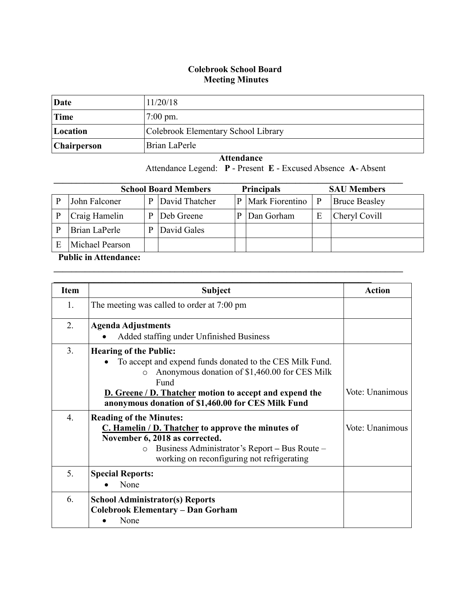## **Colebrook School Board Meeting Minutes**

| Date               | 11/20/18                            |
|--------------------|-------------------------------------|
| Time               | $7:00 \text{ pm}$ .                 |
| Location           | Colebrook Elementary School Library |
| <b>Chairperson</b> | Brian LaPerle                       |

 **Attendance** Attendance Legend: **P** - Present **E** - Excused Absence **A**- Absent

| <b>Principals</b><br><b>School Board Members</b><br><b>SAU Members</b> |                 |   |                |  |                 |              |                      |
|------------------------------------------------------------------------|-----------------|---|----------------|--|-----------------|--------------|----------------------|
|                                                                        | John Falconer   | D | David Thatcher |  | Mark Fiorentino | $\mathbf{P}$ | <b>Bruce Beasley</b> |
|                                                                        | Craig Hamelin   | D | Deb Greene     |  | Dan Gorham      | E            | Cheryl Covill        |
|                                                                        | Brian LaPerle   |   | David Gales    |  |                 |              |                      |
|                                                                        | Michael Pearson |   |                |  |                 |              |                      |

 $\mathcal{L}_\mathcal{L} = \mathcal{L}_\mathcal{L} = \mathcal{L}_\mathcal{L} = \mathcal{L}_\mathcal{L} = \mathcal{L}_\mathcal{L} = \mathcal{L}_\mathcal{L} = \mathcal{L}_\mathcal{L} = \mathcal{L}_\mathcal{L} = \mathcal{L}_\mathcal{L} = \mathcal{L}_\mathcal{L} = \mathcal{L}_\mathcal{L} = \mathcal{L}_\mathcal{L} = \mathcal{L}_\mathcal{L} = \mathcal{L}_\mathcal{L} = \mathcal{L}_\mathcal{L} = \mathcal{L}_\mathcal{L} = \mathcal{L}_\mathcal{L}$ 

## **Public in Attendance:**

| <b>Item</b>    | <b>Subject</b>                                                                                                                                                                                                                                                                               | <b>Action</b>   |
|----------------|----------------------------------------------------------------------------------------------------------------------------------------------------------------------------------------------------------------------------------------------------------------------------------------------|-----------------|
| $\mathbf{1}$ . | The meeting was called to order at 7:00 pm                                                                                                                                                                                                                                                   |                 |
| 2.             | <b>Agenda Adjustments</b><br>Added staffing under Unfinished Business                                                                                                                                                                                                                        |                 |
| 3.             | <b>Hearing of the Public:</b><br>To accept and expend funds donated to the CES Milk Fund.<br>Anonymous donation of \$1,460.00 for CES Milk<br>$\circ$<br>Fund<br><b>D.</b> Greene / <b>D.</b> Thatcher motion to accept and expend the<br>anonymous donation of \$1,460.00 for CES Milk Fund | Vote: Unanimous |
| 4.             | <b>Reading of the Minutes:</b><br>C. Hamelin / D. Thatcher to approve the minutes of<br>November 6, 2018 as corrected.<br>Business Administrator's Report - Bus Route -<br>$\circ$<br>working on reconfiguring not refrigerating                                                             | Vote: Unanimous |
| 5.             | <b>Special Reports:</b><br>None                                                                                                                                                                                                                                                              |                 |
| 6.             | <b>School Administrator(s) Reports</b><br><b>Colebrook Elementary - Dan Gorham</b><br>None                                                                                                                                                                                                   |                 |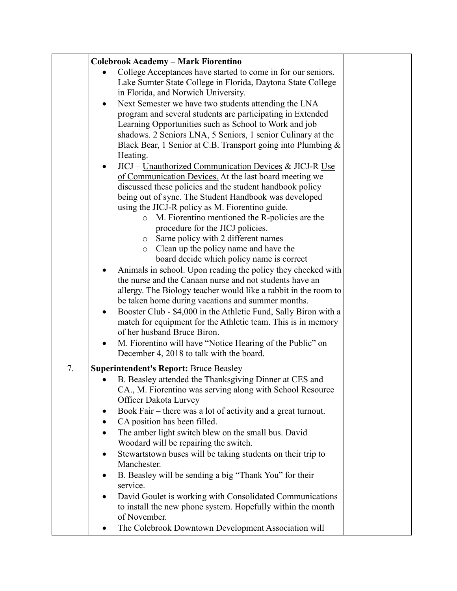|    | <b>Colebrook Academy - Mark Fiorentino</b>                      |  |  |  |
|----|-----------------------------------------------------------------|--|--|--|
|    |                                                                 |  |  |  |
|    | College Acceptances have started to come in for our seniors.    |  |  |  |
|    | Lake Sumter State College in Florida, Daytona State College     |  |  |  |
|    | in Florida, and Norwich University.                             |  |  |  |
|    | Next Semester we have two students attending the LNA            |  |  |  |
|    | program and several students are participating in Extended      |  |  |  |
|    | Learning Opportunities such as School to Work and job           |  |  |  |
|    | shadows. 2 Seniors LNA, 5 Seniors, 1 senior Culinary at the     |  |  |  |
|    | Black Bear, 1 Senior at C.B. Transport going into Plumbing &    |  |  |  |
|    | Heating.                                                        |  |  |  |
|    | JICJ – Unauthorized Communication Devices & JICJ-R Use          |  |  |  |
|    | of Communication Devices. At the last board meeting we          |  |  |  |
|    | discussed these policies and the student handbook policy        |  |  |  |
|    | being out of sync. The Student Handbook was developed           |  |  |  |
|    | using the JICJ-R policy as M. Fiorentino guide.                 |  |  |  |
|    | M. Fiorentino mentioned the R-policies are the<br>$\circ$       |  |  |  |
|    | procedure for the JICJ policies.                                |  |  |  |
|    | Same policy with 2 different names<br>$\circ$                   |  |  |  |
|    | Clean up the policy name and have the<br>$\circ$                |  |  |  |
|    | board decide which policy name is correct                       |  |  |  |
|    | Animals in school. Upon reading the policy they checked with    |  |  |  |
|    | the nurse and the Canaan nurse and not students have an         |  |  |  |
|    | allergy. The Biology teacher would like a rabbit in the room to |  |  |  |
|    | be taken home during vacations and summer months.               |  |  |  |
|    | Booster Club - \$4,000 in the Athletic Fund, Sally Biron with a |  |  |  |
|    | match for equipment for the Athletic team. This is in memory    |  |  |  |
|    | of her husband Bruce Biron.                                     |  |  |  |
|    | M. Fiorentino will have "Notice Hearing of the Public" on       |  |  |  |
|    | December 4, 2018 to talk with the board.                        |  |  |  |
|    |                                                                 |  |  |  |
| 7. | <b>Superintendent's Report: Bruce Beasley</b>                   |  |  |  |
|    | B. Beasley attended the Thanksgiving Dinner at CES and          |  |  |  |
|    | CA., M. Fiorentino was serving along with School Resource       |  |  |  |
|    | Officer Dakota Lurvey                                           |  |  |  |
|    | Book Fair - there was a lot of activity and a great turnout.    |  |  |  |
|    | CA position has been filled.<br>٠                               |  |  |  |
|    | The amber light switch blew on the small bus. David             |  |  |  |
|    | Woodard will be repairing the switch.                           |  |  |  |
|    | Stewartstown buses will be taking students on their trip to     |  |  |  |
|    | Manchester.                                                     |  |  |  |
|    | B. Beasley will be sending a big "Thank You" for their<br>٠     |  |  |  |
|    | service.                                                        |  |  |  |
|    | David Goulet is working with Consolidated Communications        |  |  |  |
|    | to install the new phone system. Hopefully within the month     |  |  |  |
|    | of November.                                                    |  |  |  |
|    | The Colebrook Downtown Development Association will             |  |  |  |
|    |                                                                 |  |  |  |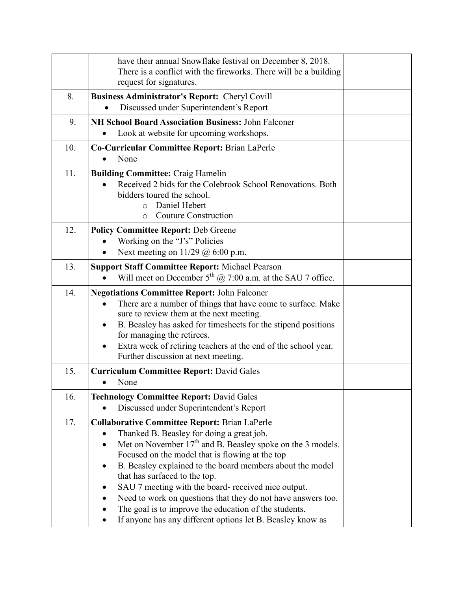|     | have their annual Snowflake festival on December 8, 2018.<br>There is a conflict with the fireworks. There will be a building<br>request for signatures.                                                                                                                                                                                                                                                                                                                                                                                                                                             |  |
|-----|------------------------------------------------------------------------------------------------------------------------------------------------------------------------------------------------------------------------------------------------------------------------------------------------------------------------------------------------------------------------------------------------------------------------------------------------------------------------------------------------------------------------------------------------------------------------------------------------------|--|
| 8.  | <b>Business Administrator's Report: Cheryl Covill</b><br>Discussed under Superintendent's Report<br>$\bullet$                                                                                                                                                                                                                                                                                                                                                                                                                                                                                        |  |
| 9.  | <b>NH School Board Association Business: John Falconer</b><br>Look at website for upcoming workshops.                                                                                                                                                                                                                                                                                                                                                                                                                                                                                                |  |
| 10. | Co-Curricular Committee Report: Brian LaPerle<br>None<br>$\bullet$                                                                                                                                                                                                                                                                                                                                                                                                                                                                                                                                   |  |
| 11. | <b>Building Committee: Craig Hamelin</b><br>Received 2 bids for the Colebrook School Renovations. Both<br>bidders toured the school.<br>Daniel Hebert<br>$\Omega$<br><b>Couture Construction</b><br>$\circ$                                                                                                                                                                                                                                                                                                                                                                                          |  |
| 12. | <b>Policy Committee Report: Deb Greene</b><br>Working on the "J's" Policies<br>Next meeting on $11/29$ @ 6:00 p.m.                                                                                                                                                                                                                                                                                                                                                                                                                                                                                   |  |
| 13. | <b>Support Staff Committee Report: Michael Pearson</b><br>Will meet on December $5^{th}$ ( $\alpha$ ) 7:00 a.m. at the SAU 7 office.                                                                                                                                                                                                                                                                                                                                                                                                                                                                 |  |
| 14. | <b>Negotiations Committee Report: John Falconer</b><br>There are a number of things that have come to surface. Make<br>sure to review them at the next meeting.<br>B. Beasley has asked for timesheets for the stipend positions<br>$\bullet$<br>for managing the retirees.<br>Extra week of retiring teachers at the end of the school year.<br>$\bullet$<br>Further discussion at next meeting.                                                                                                                                                                                                    |  |
| 15. | <b>Curriculum Committee Report: David Gales</b><br>None<br>$\bullet$                                                                                                                                                                                                                                                                                                                                                                                                                                                                                                                                 |  |
| 16. | <b>Technology Committee Report: David Gales</b><br>Discussed under Superintendent's Report                                                                                                                                                                                                                                                                                                                                                                                                                                                                                                           |  |
| 17. | <b>Collaborative Committee Report: Brian LaPerle</b><br>Thanked B. Beasley for doing a great job.<br>Met on November 17 <sup>th</sup> and B. Beasley spoke on the 3 models.<br>$\bullet$<br>Focused on the model that is flowing at the top<br>B. Beasley explained to the board members about the model<br>$\bullet$<br>that has surfaced to the top.<br>SAU 7 meeting with the board- received nice output.<br>Need to work on questions that they do not have answers too.<br>The goal is to improve the education of the students.<br>If anyone has any different options let B. Beasley know as |  |